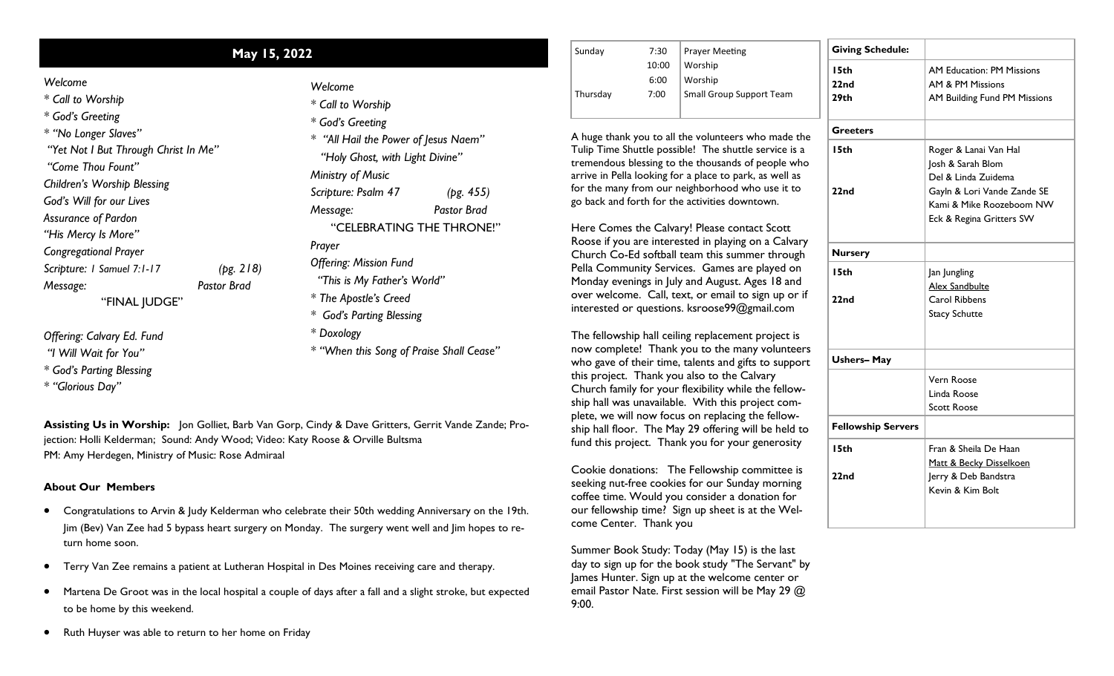## *Welcome*

*\* Call to Worship*

*\* God's Greeting*

*\* "No Longer Slaves" "Yet Not I But Through Christ In Me"*

*"Come Thou Fount"*

*Children's Worship Blessing*

*God's Will for our Lives*

*Assurance of Pardon*

*"His Mercy Is More"*

*Congregational Prayer*

*Scripture: 1 Samuel 7:1-17 (pg. 218)*

*Message: Pastor Brad*

"FINAL JUDGE"

*Offering: Calvary Ed. Fund*

*"I Will Wait for You"*

*\* God's Parting Blessing*

*\* "Glorious Day"*

*\* Call to Worship \* God's Greeting \* "All Hail the Power of Jesus Naem" "Holy Ghost, with Light Divine" Ministry of Music Scripture: Psalm 47 (pg. 455) Message: Pastor Brad* "CELEBRATING THE THRONE!" *Prayer Offering: Mission Fund "This is My Father's World" \* The Apostle's Creed*

*Welcome*

*\* God's Parting Blessing*

*\* Doxology*

*\* "When this Song of Praise Shall Cease"* 

**Assisting Us in Worship:** Jon Golliet, Barb Van Gorp, Cindy & Dave Gritters, Gerrit Vande Zande; Projection: Holli Kelderman; Sound: Andy Wood; Video: Katy Roose & Orville Bultsma PM: Amy Herdegen, Ministry of Music: Rose Admiraal

## **About Our Members**

- Congratulations to Arvin & Judy Kelderman who celebrate their 50th wedding Anniversary on the 19th. Jim (Bev) Van Zee had 5 bypass heart surgery on Monday. The surgery went well and Jim hopes to return home soon.
- Terry Van Zee remains a patient at Lutheran Hospital in Des Moines receiving care and therapy.
- Martena De Groot was in the local hospital a couple of days after a fall and a slight stroke, but expected to be home by this weekend.

**May 15, 2022** 7:30 10:00 6:00 Thursday 7:00 Prayer Meeting Worship Worship Small Group Support Team **Giving Schedule: 15th 22nd 29th**

> A huge thank you to all the volunteers who made the Tulip Time Shuttle possible! The shuttle service is a tremendous blessing to the thousands of people who arrive in Pella looking for a place to park, as well as for the many from our neighborhood who use it to go back and forth for the activities downtown.

> Here Comes the Calvary! Please contact Scott Roose if you are interested in playing on a Calvary Church Co-Ed softball team this summer through Pella Community Services. Games are played on Monday evenings in July and August. Ages 18 and over welcome. Call, text, or email to sign up or if interested or questions. ksroose99@gmail.com

> The fellowship hall ceiling replacement project is now complete! Thank you to the many volunteers who gave of their time, talents and gifts to support this project. Thank you also to the Calvary Church family for your flexibility while the fellowship hall was unavailable. With this project complete, we will now focus on replacing the fellowship hall floor. The May 29 offering will be held to fund this project. Thank you for your generosity

Cookie donations: The Fellowship committee is seeking nut-free cookies for our Sunday morning coffee time. Would you consider a donation for our fellowship time? Sign up sheet is at the Welcome Center. Thank you

Summer Book Study: Today (May 15) is the last day to sign up for the book study "The Servant" by James Hunter. Sign up at the welcome center or email Pastor Nate. First session will be May 29 @ 9:00.

| <b>Giving Schedule:</b><br>I 5th<br>22 <sub>nd</sub> | <b>AM Education: PM Missions</b> |  |  |
|------------------------------------------------------|----------------------------------|--|--|
|                                                      |                                  |  |  |
|                                                      |                                  |  |  |
|                                                      | AM & PM Missions                 |  |  |
| 29th                                                 | AM Building Fund PM Missions     |  |  |
| <b>Greeters</b>                                      |                                  |  |  |
| I 5th                                                | Roger & Lanai Van Hal            |  |  |
|                                                      | Josh & Sarah Blom                |  |  |
|                                                      | Del & Linda Zuidema              |  |  |
| 22 <sub>nd</sub>                                     | Gayln & Lori Vande Zande SE      |  |  |
|                                                      | Kami & Mike Roozeboom NW         |  |  |
|                                                      | Eck & Regina Gritters SW         |  |  |
| <b>Nursery</b>                                       |                                  |  |  |
| I 5th                                                | Jan Jungling                     |  |  |
|                                                      | <b>Alex Sandbulte</b>            |  |  |
| 22nd                                                 | Carol Ribbens                    |  |  |
|                                                      | <b>Stacy Schutte</b>             |  |  |
| <b>Ushers-May</b>                                    |                                  |  |  |
|                                                      | Vern Roose                       |  |  |
|                                                      | Linda Roose                      |  |  |
|                                                      | Scott Roose                      |  |  |
| <b>Fellowship Servers</b>                            |                                  |  |  |
| I 5th                                                | Fran & Sheila De Haan            |  |  |
|                                                      | Matt & Becky Disselkoen          |  |  |
| 22nd                                                 | Jerry & Deb Bandstra             |  |  |
|                                                      | Kevin & Kim Bolt                 |  |  |

Ruth Huyser was able to return to her home on Friday